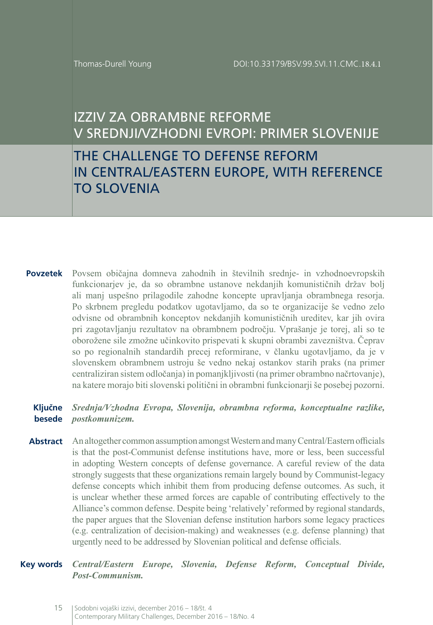## IZZIV ZA OBRAMBNE REFORME V SREDNJI/VZHODNI EVROPI: PRIMER SLOVENIJE

# THE CHALLENGE TO DEFENSE REFORM IN CENTRAL/EASTERN EUROPE, WITH REFERENCE TO SLOVENIA

**Povzetek** Povsem običajna domneva zahodnih in številnih srednje- in vzhodnoevropskih funkcionarjev je, da so obrambne ustanove nekdanjih komunističnih držav bolj ali manj uspešno prilagodile zahodne koncepte upravljanja obrambnega resorja. Po skrbnem pregledu podatkov ugotavljamo, da so te organizacije še vedno zelo odvisne od obrambnih konceptov nekdanjih komunističnih ureditev, kar jih ovira pri zagotavljanju rezultatov na obrambnem področju. Vprašanje je torej, ali so te oborožene sile zmožne učinkovito prispevati k skupni obrambi zavezništva. Čeprav so po regionalnih standardih precej reformirane, v članku ugotavljamo, da je v slovenskem obrambnem ustroju še vedno nekaj ostankov starih praks (na primer centraliziran sistem odločanja) in pomanjkljivosti (na primer obrambno načrtovanje), na katere morajo biti slovenski politični in obrambni funkcionarji še posebej pozorni.

#### **Ključne**  *Srednja/Vzhodna Evropa, Slovenija, obrambna reforma, konceptualne razlike,*  **besede** *postkomunizem.*

**Abstract** An altogether common assumption amongst Western and many Central/Eastern officials is that the post-Communist defense institutions have, more or less, been successful in adopting Western concepts of defense governance. A careful review of the data strongly suggests that these organizations remain largely bound by Communist-legacy defense concepts which inhibit them from producing defense outcomes. As such, it is unclear whether these armed forces are capable of contributing effectively to the Alliance's common defense. Despite being 'relatively' reformed by regional standards, the paper argues that the Slovenian defense institution harbors some legacy practices (e.g. centralization of decision-making) and weaknesses (e.g. defense planning) that urgently need to be addressed by Slovenian political and defense officials.

**Key words** *Central/Eastern Europe, Slovenia, Defense Reform, Conceptual Divide, Post-Communism.*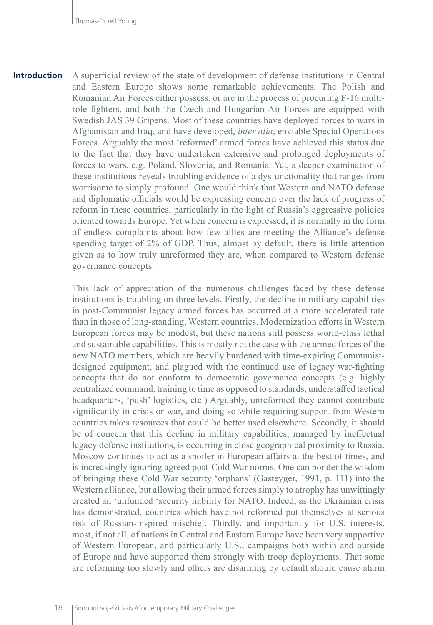**Introduction** A superficial review of the state of development of defense institutions in Central and Eastern Europe shows some remarkable achievements. The Polish and Romanian Air Forces either possess, or are in the process of procuring F-16 multirole fighters, and both the Czech and Hungarian Air Forces are equipped with Swedish JAS 39 Gripens. Most of these countries have deployed forces to wars in Afghanistan and Iraq, and have developed, *inter alia*, enviable Special Operations Forces. Arguably the most 'reformed' armed forces have achieved this status due to the fact that they have undertaken extensive and prolonged deployments of forces to wars, e.g. Poland, Slovenia, and Romania. Yet, a deeper examination of these institutions reveals troubling evidence of a dysfunctionality that ranges from worrisome to simply profound. One would think that Western and NATO defense and diplomatic officials would be expressing concern over the lack of progress of reform in these countries, particularly in the light of Russia's aggressive policies oriented towards Europe. Yet when concern is expressed, it is normally in the form of endless complaints about how few allies are meeting the Alliance's defense spending target of 2% of GDP. Thus, almost by default, there is little attention given as to how truly unreformed they are, when compared to Western defense governance concepts.

> This lack of appreciation of the numerous challenges faced by these defense institutions is troubling on three levels. Firstly, the decline in military capabilities in post-Communist legacy armed forces has occurred at a more accelerated rate than in those of long-standing, Western countries. Modernization efforts in Western European forces may be modest, but these nations still possess world-class lethal and sustainable capabilities. This is mostly not the case with the armed forces of the new NATO members, which are heavily burdened with time-expiring Communistdesigned equipment, and plagued with the continued use of legacy war-fighting concepts that do not conform to democratic governance concepts (e.g. highly centralized command, training to time as opposed to standards, understaffed tactical headquarters, 'push' logistics, etc.) Arguably, unreformed they cannot contribute significantly in crisis or war, and doing so while requiring support from Western countries takes resources that could be better used elsewhere. Secondly, it should be of concern that this decline in military capabilities, managed by ineffectual legacy defense institutions, is occurring in close geographical proximity to Russia. Moscow continues to act as a spoiler in European affairs at the best of times, and is increasingly ignoring agreed post-Cold War norms. One can ponder the wisdom of bringing these Cold War security 'orphans' (Gasteyger, 1991, p. 111) into the Western alliance, but allowing their armed forces simply to atrophy has unwittingly created an 'unfunded 'security liability for NATO. Indeed, as the Ukrainian crisis has demonstrated, countries which have not reformed put themselves at serious risk of Russian-inspired mischief. Thirdly, and importantly for U.S. interests, most, if not all, of nations in Central and Eastern Europe have been very supportive of Western European, and particularly U.S., campaigns both within and outside of Europe and have supported them strongly with troop deployments. That some are reforming too slowly and others are disarming by default should cause alarm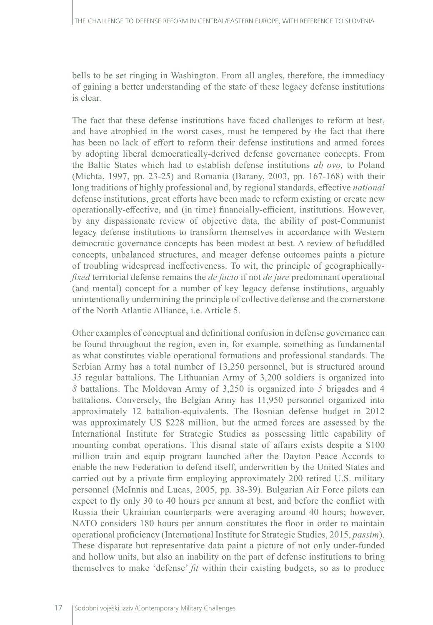bells to be set ringing in Washington. From all angles, therefore, the immediacy of gaining a better understanding of the state of these legacy defense institutions is clear.

The fact that these defense institutions have faced challenges to reform at best, and have atrophied in the worst cases, must be tempered by the fact that there has been no lack of effort to reform their defense institutions and armed forces by adopting liberal democratically-derived defense governance concepts. From the Baltic States which had to establish defense institutions *ab ovo,* to Poland (Michta, 1997, pp. 23-25) and Romania (Barany, 2003, pp. 167-168) with their long traditions of highly professional and, by regional standards, effective *national* defense institutions, great efforts have been made to reform existing or create new operationally-effective, and (in time) financially-efficient, institutions. However, by any dispassionate review of objective data, the ability of post-Communist legacy defense institutions to transform themselves in accordance with Western democratic governance concepts has been modest at best. A review of befuddled concepts, unbalanced structures, and meager defense outcomes paints a picture of troubling widespread ineffectiveness. To wit, the principle of geographically*fixed* territorial defense remains the *de facto* if not *de jure* predominant operational (and mental) concept for a number of key legacy defense institutions, arguably unintentionally undermining the principle of collective defense and the cornerstone of the North Atlantic Alliance, i.e. Article 5.

Other examples of conceptual and definitional confusion in defense governance can be found throughout the region, even in, for example, something as fundamental as what constitutes viable operational formations and professional standards. The Serbian Army has a total number of 13,250 personnel, but is structured around *35* regular battalions. The Lithuanian Army of 3,200 soldiers is organized into *8* battalions. The Moldovan Army of 3,250 is organized into *5* brigades and 4 battalions. Conversely, the Belgian Army has 11,950 personnel organized into approximately 12 battalion-equivalents. The Bosnian defense budget in 2012 was approximately US \$228 million, but the armed forces are assessed by the International Institute for Strategic Studies as possessing little capability of mounting combat operations. This dismal state of affairs exists despite a \$100 million train and equip program launched after the Dayton Peace Accords to enable the new Federation to defend itself, underwritten by the United States and carried out by a private firm employing approximately 200 retired U.S. military personnel (McInnis and Lucas, 2005, pp. 38-39). Bulgarian Air Force pilots can expect to fly only 30 to 40 hours per annum at best, and before the conflict with Russia their Ukrainian counterparts were averaging around 40 hours; however, NATO considers 180 hours per annum constitutes the floor in order to maintain operational proficiency (International Institute for Strategic Studies, 2015, *passim*). These disparate but representative data paint a picture of not only under-funded and hollow units, but also an inability on the part of defense institutions to bring themselves to make 'defense' *fit* within their existing budgets, so as to produce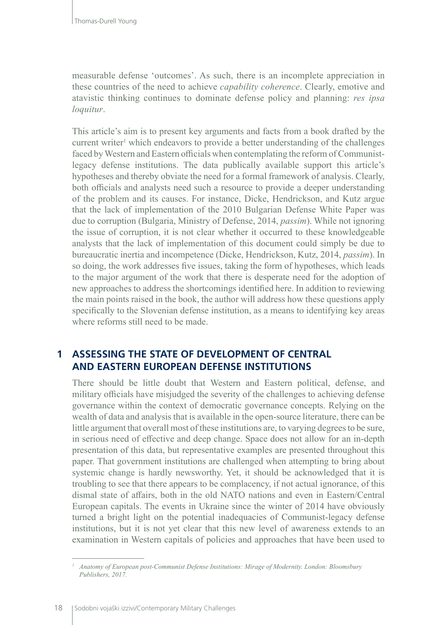measurable defense 'outcomes'. As such, there is an incomplete appreciation in these countries of the need to achieve *capability coherence*. Clearly, emotive and atavistic thinking continues to dominate defense policy and planning: *res ipsa loquitur*.

This article's aim is to present key arguments and facts from a book drafted by the current writer<sup>1</sup> which endeavors to provide a better understanding of the challenges faced by Western and Eastern officials when contemplating the reform of Communistlegacy defense institutions. The data publically available support this article's hypotheses and thereby obviate the need for a formal framework of analysis. Clearly, both officials and analysts need such a resource to provide a deeper understanding of the problem and its causes. For instance, Dicke, Hendrickson, and Kutz argue that the lack of implementation of the 2010 Bulgarian Defense White Paper was due to corruption (Bulgaria, Ministry of Defense, 2014, *passim*). While not ignoring the issue of corruption, it is not clear whether it occurred to these knowledgeable analysts that the lack of implementation of this document could simply be due to bureaucratic inertia and incompetence (Dicke, Hendrickson, Kutz, 2014, *passim*). In so doing, the work addresses five issues, taking the form of hypotheses, which leads to the major argument of the work that there is desperate need for the adoption of new approaches to address the shortcomings identified here. In addition to reviewing the main points raised in the book, the author will address how these questions apply specifically to the Slovenian defense institution, as a means to identifying key areas where reforms still need to be made.

## **1 ASSESSING THE STATE OF DEVELOPMENT OF CENTRAL AND EASTERN EUROPEAN DEFENSE INSTITUTIONS**

There should be little doubt that Western and Eastern political, defense, and military officials have misjudged the severity of the challenges to achieving defense governance within the context of democratic governance concepts. Relying on the wealth of data and analysis that is available in the open-source literature, there can be little argument that overall most of these institutions are, to varying degrees to be sure, in serious need of effective and deep change. Space does not allow for an in-depth presentation of this data, but representative examples are presented throughout this paper. That government institutions are challenged when attempting to bring about systemic change is hardly newsworthy. Yet, it should be acknowledged that it is troubling to see that there appears to be complacency, if not actual ignorance, of this dismal state of affairs, both in the old NATO nations and even in Eastern/Central European capitals. The events in Ukraine since the winter of 2014 have obviously turned a bright light on the potential inadequacies of Communist-legacy defense institutions, but it is not yet clear that this new level of awareness extends to an examination in Western capitals of policies and approaches that have been used to

*<sup>1</sup> Anatomy of European post-Communist Defense Institutions: Mirage of Modernity. London: Bloomsbury Publishers, 2017.*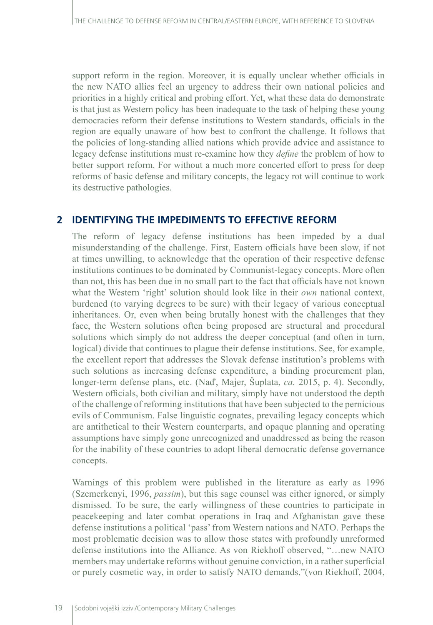support reform in the region. Moreover, it is equally unclear whether officials in the new NATO allies feel an urgency to address their own national policies and priorities in a highly critical and probing effort. Yet, what these data do demonstrate is that just as Western policy has been inadequate to the task of helping these young democracies reform their defense institutions to Western standards, officials in the region are equally unaware of how best to confront the challenge. It follows that the policies of long-standing allied nations which provide advice and assistance to legacy defense institutions must re-examine how they *define* the problem of how to better support reform. For without a much more concerted effort to press for deep reforms of basic defense and military concepts, the legacy rot will continue to work its destructive pathologies.

#### **2 IDENTIFYING THE IMPEDIMENTS TO EFFECTIVE REFORM**

The reform of legacy defense institutions has been impeded by a dual misunderstanding of the challenge. First, Eastern officials have been slow, if not at times unwilling, to acknowledge that the operation of their respective defense institutions continues to be dominated by Communist-legacy concepts. More often than not, this has been due in no small part to the fact that officials have not known what the Western 'right' solution should look like in their *own* national context, burdened (to varying degrees to be sure) with their legacy of various conceptual inheritances. Or, even when being brutally honest with the challenges that they face, the Western solutions often being proposed are structural and procedural solutions which simply do not address the deeper conceptual (and often in turn, logical) divide that continues to plague their defense institutions. See, for example, the excellent report that addresses the Slovak defense institution's problems with such solutions as increasing defense expenditure, a binding procurement plan, longer-term defense plans, etc. (Naď, Majer, Šuplata, *ca.* 2015, p. 4). Secondly, Western officials, both civilian and military, simply have not understood the depth of the challenge of reforming institutions that have been subjected to the pernicious evils of Communism. False linguistic cognates, prevailing legacy concepts which are antithetical to their Western counterparts, and opaque planning and operating assumptions have simply gone unrecognized and unaddressed as being the reason for the inability of these countries to adopt liberal democratic defense governance concepts.

Warnings of this problem were published in the literature as early as 1996 (Szemerkenyi, 1996, *passim*), but this sage counsel was either ignored, or simply dismissed. To be sure, the early willingness of these countries to participate in peacekeeping and later combat operations in Iraq and Afghanistan gave these defense institutions a political 'pass' from Western nations and NATO. Perhaps the most problematic decision was to allow those states with profoundly unreformed defense institutions into the Alliance. As von Riekhoff observed, "…new NATO members may undertake reforms without genuine conviction, in a rather superficial or purely cosmetic way, in order to satisfy NATO demands,"(von Riekhoff, 2004,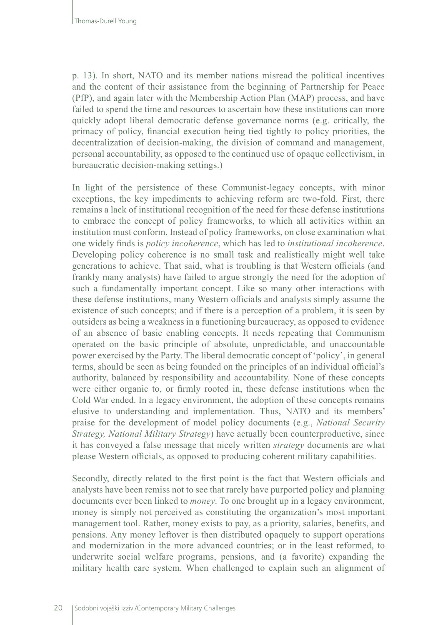p. 13). In short, NATO and its member nations misread the political incentives and the content of their assistance from the beginning of Partnership for Peace (PfP), and again later with the Membership Action Plan (MAP) process, and have failed to spend the time and resources to ascertain how these institutions can more quickly adopt liberal democratic defense governance norms (e.g. critically, the primacy of policy, financial execution being tied tightly to policy priorities, the decentralization of decision-making, the division of command and management, personal accountability, as opposed to the continued use of opaque collectivism, in bureaucratic decision-making settings.)

In light of the persistence of these Communist-legacy concepts, with minor exceptions, the key impediments to achieving reform are two-fold. First, there remains a lack of institutional recognition of the need for these defense institutions to embrace the concept of policy frameworks, to which all activities within an institution must conform. Instead of policy frameworks, on close examination what one widely finds is *policy incoherence*, which has led to *institutional incoherence*. Developing policy coherence is no small task and realistically might well take generations to achieve. That said, what is troubling is that Western officials (and frankly many analysts) have failed to argue strongly the need for the adoption of such a fundamentally important concept. Like so many other interactions with these defense institutions, many Western officials and analysts simply assume the existence of such concepts; and if there is a perception of a problem, it is seen by outsiders as being a weakness in a functioning bureaucracy, as opposed to evidence of an absence of basic enabling concepts. It needs repeating that Communism operated on the basic principle of absolute, unpredictable, and unaccountable power exercised by the Party. The liberal democratic concept of 'policy', in general terms, should be seen as being founded on the principles of an individual official's authority, balanced by responsibility and accountability. None of these concepts were either organic to, or firmly rooted in, these defense institutions when the Cold War ended. In a legacy environment, the adoption of these concepts remains elusive to understanding and implementation. Thus, NATO and its members' praise for the development of model policy documents (e.g., *National Security Strategy, National Military Strategy*) have actually been counterproductive, since it has conveyed a false message that nicely written *strategy* documents are what please Western officials, as opposed to producing coherent military capabilities.

Secondly, directly related to the first point is the fact that Western officials and analysts have been remiss not to see that rarely have purported policy and planning documents ever been linked to *money*. To one brought up in a legacy environment, money is simply not perceived as constituting the organization's most important management tool. Rather, money exists to pay, as a priority, salaries, benefits, and pensions. Any money leftover is then distributed opaquely to support operations and modernization in the more advanced countries; or in the least reformed, to underwrite social welfare programs, pensions, and (a favorite) expanding the military health care system. When challenged to explain such an alignment of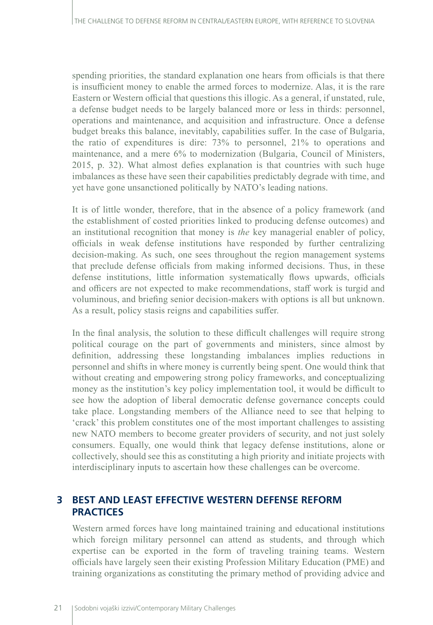spending priorities, the standard explanation one hears from officials is that there is insufficient money to enable the armed forces to modernize. Alas, it is the rare Eastern or Western official that questions this illogic. As a general, if unstated, rule, a defense budget needs to be largely balanced more or less in thirds: personnel, operations and maintenance, and acquisition and infrastructure. Once a defense budget breaks this balance, inevitably, capabilities suffer. In the case of Bulgaria, the ratio of expenditures is dire: 73% to personnel, 21% to operations and maintenance, and a mere 6% to modernization (Bulgaria, Council of Ministers, 2015, p. 32). What almost defies explanation is that countries with such huge imbalances as these have seen their capabilities predictably degrade with time, and yet have gone unsanctioned politically by NATO's leading nations.

It is of little wonder, therefore, that in the absence of a policy framework (and the establishment of costed priorities linked to producing defense outcomes) and an institutional recognition that money is *the* key managerial enabler of policy, officials in weak defense institutions have responded by further centralizing decision-making. As such, one sees throughout the region management systems that preclude defense officials from making informed decisions. Thus, in these defense institutions, little information systematically flows upwards, officials and officers are not expected to make recommendations, staff work is turgid and voluminous, and briefing senior decision-makers with options is all but unknown. As a result, policy stasis reigns and capabilities suffer.

In the final analysis, the solution to these difficult challenges will require strong political courage on the part of governments and ministers, since almost by definition, addressing these longstanding imbalances implies reductions in personnel and shifts in where money is currently being spent. One would think that without creating and empowering strong policy frameworks, and conceptualizing money as the institution's key policy implementation tool, it would be difficult to see how the adoption of liberal democratic defense governance concepts could take place. Longstanding members of the Alliance need to see that helping to 'crack' this problem constitutes one of the most important challenges to assisting new NATO members to become greater providers of security, and not just solely consumers. Equally, one would think that legacy defense institutions, alone or collectively, should see this as constituting a high priority and initiate projects with interdisciplinary inputs to ascertain how these challenges can be overcome.

## **3 BEST AND LEAST EFFECTIVE WESTERN DEFENSE REFORM PRACTICES**

Western armed forces have long maintained training and educational institutions which foreign military personnel can attend as students, and through which expertise can be exported in the form of traveling training teams. Western officials have largely seen their existing Profession Military Education (PME) and training organizations as constituting the primary method of providing advice and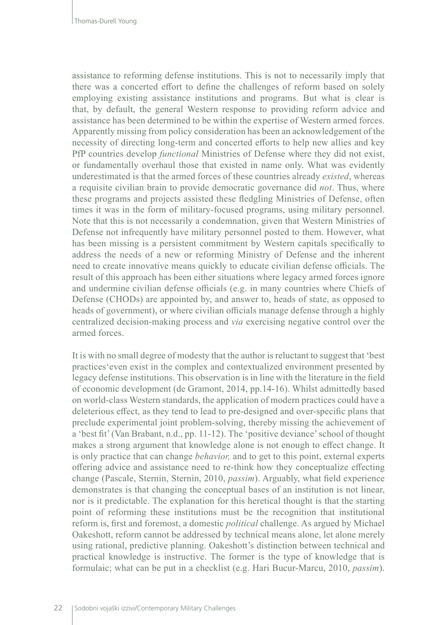assistance to reforming defense institutions. This is not to necessarily imply that there was a concerted effort to define the challenges of reform based on solely employing existing assistance institutions and programs. But what is clear is that, by default, the general Western response to providing reform advice and assistance has been determined to be within the expertise of Western armed forces. Apparently missing from policy consideration has been an acknowledgement of the necessity of directing long-term and concerted efforts to help new allies and key PfP countries develop *functional* Ministries of Defense where they did not exist, or fundamentally overhaul those that existed in name only. What was evidently underestimated is that the armed forces of these countries already *existed*, whereas a requisite civilian brain to provide democratic governance did *not*. Thus, where these programs and projects assisted these fledgling Ministries of Defense, often times it was in the form of military-focused programs, using military personnel. Note that this is not necessarily a condemnation, given that Western Ministries of Defense not infrequently have military personnel posted to them. However, what has been missing is a persistent commitment by Western capitals specifically to address the needs of a new or reforming Ministry of Defense and the inherent need to create innovative means quickly to educate civilian defense officials. The result of this approach has been either situations where legacy armed forces ignore and undermine civilian defense officials (e.g. in many countries where Chiefs of Defense (CHODs) are appointed by, and answer to, heads of state, as opposed to heads of government), or where civilian officials manage defense through a highly centralized decision-making process and *via* exercising negative control over the armed forces.

It is with no small degree of modesty that the author is reluctant to suggest that 'best practices'even exist in the complex and contextualized environment presented by legacy defense institutions. This observation is in line with the literature in the field of economic development (de Gramont, 2014, pp.14-16). Whilst admittedly based on world-class Western standards, the application of modern practices could have a deleterious effect, as they tend to lead to pre-designed and over-specific plans that preclude experimental joint problem-solving, thereby missing the achievement of a 'best fit' (Van Brabant, n.d., pp. 11-12). The 'positive deviance' school of thought makes a strong argument that knowledge alone is not enough to effect change. It is only practice that can change *behavior,* and to get to this point, external experts offering advice and assistance need to re-think how they conceptualize effecting change (Pascale, Sternin, Sternin, 2010, *passim*). Arguably, what field experience demonstrates is that changing the conceptual bases of an institution is not linear, nor is it predictable. The explanation for this heretical thought is that the starting point of reforming these institutions must be the recognition that institutional reform is, first and foremost, a domestic *political* challenge. As argued by Michael Oakeshott, reform cannot be addressed by technical means alone, let alone merely using rational, predictive planning. Oakeshott's distinction between technical and practical knowledge is instructive. The former is the type of knowledge that is formulaic; what can be put in a checklist (e.g. Hari Bucur-Marcu, 2010, *passim*).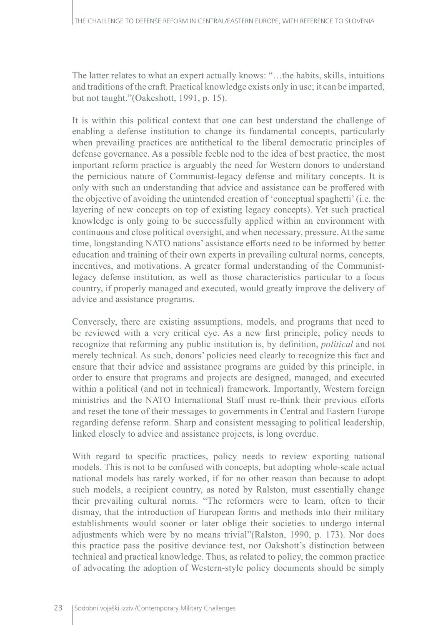The latter relates to what an expert actually knows: "…the habits, skills, intuitions and traditions of the craft. Practical knowledge exists only in use; it can be imparted, but not taught."(Oakeshott, 1991, p. 15).

It is within this political context that one can best understand the challenge of enabling a defense institution to change its fundamental concepts, particularly when prevailing practices are antithetical to the liberal democratic principles of defense governance. As a possible feeble nod to the idea of best practice, the most important reform practice is arguably the need for Western donors to understand the pernicious nature of Communist-legacy defense and military concepts. It is only with such an understanding that advice and assistance can be proffered with the objective of avoiding the unintended creation of 'conceptual spaghetti' (i.e. the layering of new concepts on top of existing legacy concepts). Yet such practical knowledge is only going to be successfully applied within an environment with continuous and close political oversight, and when necessary, pressure. At the same time, longstanding NATO nations' assistance efforts need to be informed by better education and training of their own experts in prevailing cultural norms, concepts, incentives, and motivations. A greater formal understanding of the Communistlegacy defense institution, as well as those characteristics particular to a focus country, if properly managed and executed, would greatly improve the delivery of advice and assistance programs.

Conversely, there are existing assumptions, models, and programs that need to be reviewed with a very critical eye. As a new first principle, policy needs to recognize that reforming any public institution is, by definition, *political* and not merely technical. As such, donors' policies need clearly to recognize this fact and ensure that their advice and assistance programs are guided by this principle, in order to ensure that programs and projects are designed, managed, and executed within a political (and not in technical) framework. Importantly, Western foreign ministries and the NATO International Staff must re-think their previous efforts and reset the tone of their messages to governments in Central and Eastern Europe regarding defense reform. Sharp and consistent messaging to political leadership, linked closely to advice and assistance projects, is long overdue.

With regard to specific practices, policy needs to review exporting national models. This is not to be confused with concepts, but adopting whole-scale actual national models has rarely worked, if for no other reason than because to adopt such models, a recipient country, as noted by Ralston, must essentially change their prevailing cultural norms. "The reformers were to learn, often to their dismay, that the introduction of European forms and methods into their military establishments would sooner or later oblige their societies to undergo internal adjustments which were by no means trivial"(Ralston, 1990, p. 173). Nor does this practice pass the positive deviance test, nor Oakshott's distinction between technical and practical knowledge. Thus, as related to policy, the common practice of advocating the adoption of Western-style policy documents should be simply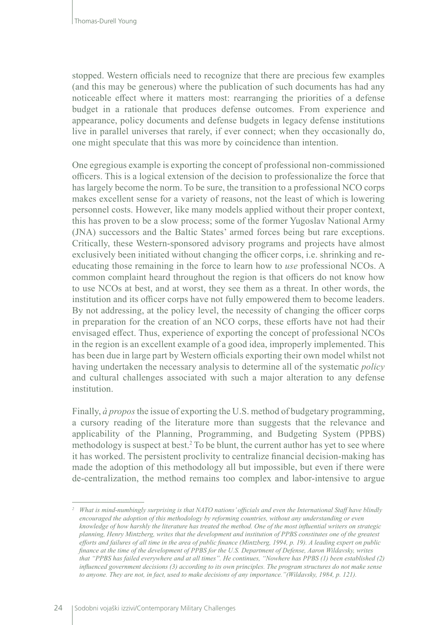stopped. Western officials need to recognize that there are precious few examples (and this may be generous) where the publication of such documents has had any noticeable effect where it matters most: rearranging the priorities of a defense budget in a rationale that produces defense outcomes. From experience and appearance, policy documents and defense budgets in legacy defense institutions live in parallel universes that rarely, if ever connect; when they occasionally do, one might speculate that this was more by coincidence than intention.

One egregious example is exporting the concept of professional non-commissioned officers. This is a logical extension of the decision to professionalize the force that has largely become the norm. To be sure, the transition to a professional NCO corps makes excellent sense for a variety of reasons, not the least of which is lowering personnel costs. However, like many models applied without their proper context, this has proven to be a slow process; some of the former Yugoslav National Army (JNA) successors and the Baltic States' armed forces being but rare exceptions. Critically, these Western-sponsored advisory programs and projects have almost exclusively been initiated without changing the officer corps, i.e. shrinking and reeducating those remaining in the force to learn how to *use* professional NCOs. A common complaint heard throughout the region is that officers do not know how to use NCOs at best, and at worst, they see them as a threat. In other words, the institution and its officer corps have not fully empowered them to become leaders. By not addressing, at the policy level, the necessity of changing the officer corps in preparation for the creation of an NCO corps, these efforts have not had their envisaged effect. Thus, experience of exporting the concept of professional NCOs in the region is an excellent example of a good idea, improperly implemented. This has been due in large part by Western officials exporting their own model whilst not having undertaken the necessary analysis to determine all of the systematic *policy* and cultural challenges associated with such a major alteration to any defense institution.

Finally, *à propos* the issue of exporting the U.S. method of budgetary programming, a cursory reading of the literature more than suggests that the relevance and applicability of the Planning, Programming, and Budgeting System (PPBS) methodology is suspect at best.<sup>2</sup> To be blunt, the current author has yet to see where it has worked. The persistent proclivity to centralize financial decision-making has made the adoption of this methodology all but impossible, but even if there were de-centralization, the method remains too complex and labor-intensive to argue

*<sup>2</sup> What is mind-numbingly surprising is that NATO nations' officials and even the International Staff have blindly encouraged the adoption of this methodology by reforming countries, without any understanding or even knowledge of how harshly the literature has treated the method. One of the most influential writers on strategic planning, Henry Mintzberg, writes that the development and institution of PPBS constitutes one of the greatest efforts and failures of all time in the area of public finance (Mintzberg, 1994, p. 19). A leading expert on public finance at the time of the development of PPBS for the U.S. Department of Defense, Aaron Wildavsky, writes that "PPBS has failed everywhere and at all times". He continues, "Nowhere has PPBS (1) been established (2) influenced government decisions (3) according to its own principles. The program structures do not make sense to anyone. They are not, in fact, used to make decisions of any importance."(Wildavsky, 1984, p. 121).*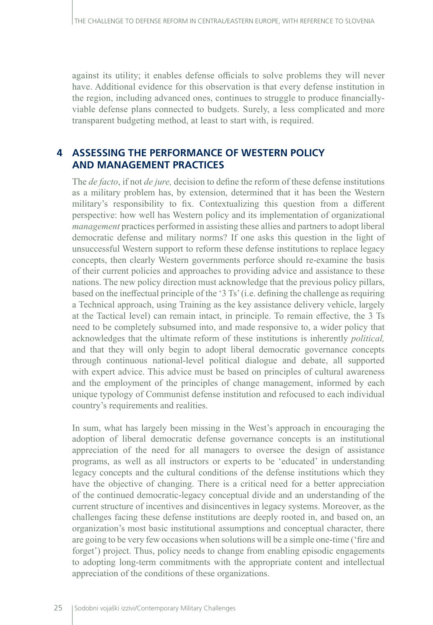against its utility; it enables defense officials to solve problems they will never have. Additional evidence for this observation is that every defense institution in the region, including advanced ones, continues to struggle to produce financiallyviable defense plans connected to budgets. Surely, a less complicated and more transparent budgeting method, at least to start with, is required.

## **4 ASSESSING THE PERFORMANCE OF WESTERN POLICY AND MANAGEMENT PRACTICES**

The *de facto*, if not *de jure,* decision to define the reform of these defense institutions as a military problem has, by extension, determined that it has been the Western military's responsibility to fix. Contextualizing this question from a different perspective: how well has Western policy and its implementation of organizational *management* practices performed in assisting these allies and partners to adopt liberal democratic defense and military norms? If one asks this question in the light of unsuccessful Western support to reform these defense institutions to replace legacy concepts, then clearly Western governments perforce should re-examine the basis of their current policies and approaches to providing advice and assistance to these nations. The new policy direction must acknowledge that the previous policy pillars, based on the ineffectual principle of the '3 Ts' (i.e. defining the challenge as requiring a Technical approach, using Training as the key assistance delivery vehicle, largely at the Tactical level) can remain intact, in principle. To remain effective, the 3 Ts need to be completely subsumed into, and made responsive to, a wider policy that acknowledges that the ultimate reform of these institutions is inherently *political,* and that they will only begin to adopt liberal democratic governance concepts through continuous national-level political dialogue and debate, all supported with expert advice. This advice must be based on principles of cultural awareness and the employment of the principles of change management, informed by each unique typology of Communist defense institution and refocused to each individual country's requirements and realities.

In sum, what has largely been missing in the West's approach in encouraging the adoption of liberal democratic defense governance concepts is an institutional appreciation of the need for all managers to oversee the design of assistance programs, as well as all instructors or experts to be 'educated' in understanding legacy concepts and the cultural conditions of the defense institutions which they have the objective of changing. There is a critical need for a better appreciation of the continued democratic-legacy conceptual divide and an understanding of the current structure of incentives and disincentives in legacy systems. Moreover, as the challenges facing these defense institutions are deeply rooted in, and based on, an organization's most basic institutional assumptions and conceptual character, there are going to be very few occasions when solutions will be a simple one-time ('fire and forget') project. Thus, policy needs to change from enabling episodic engagements to adopting long-term commitments with the appropriate content and intellectual appreciation of the conditions of these organizations.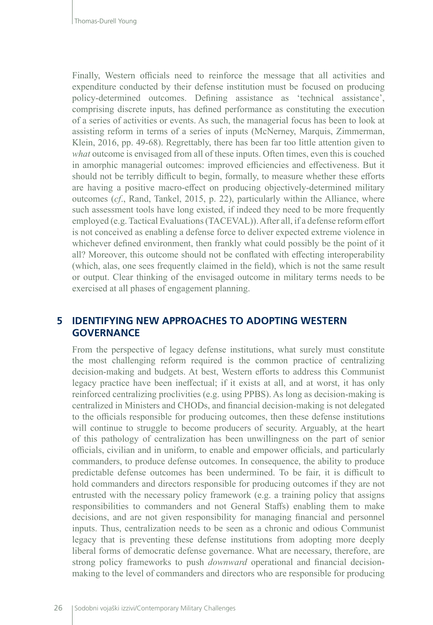Finally, Western officials need to reinforce the message that all activities and expenditure conducted by their defense institution must be focused on producing policy-determined outcomes. Defining assistance as 'technical assistance', comprising discrete inputs, has defined performance as constituting the execution of a series of activities or events. As such, the managerial focus has been to look at assisting reform in terms of a series of inputs (McNerney, Marquis, Zimmerman, Klein, 2016, pp. 49-68). Regrettably, there has been far too little attention given to *what* outcome is envisaged from all of these inputs. Often times, even this is couched in amorphic managerial outcomes: improved efficiencies and effectiveness. But it should not be terribly difficult to begin, formally, to measure whether these efforts are having a positive macro-effect on producing objectively-determined military outcomes (*cf*., Rand, Tankel, 2015, p. 22), particularly within the Alliance, where such assessment tools have long existed, if indeed they need to be more frequently employed (e.g. Tactical Evaluations (TACEVAL)). After all, if a defense reform effort is not conceived as enabling a defense force to deliver expected extreme violence in whichever defined environment, then frankly what could possibly be the point of it all? Moreover, this outcome should not be conflated with effecting interoperability (which, alas, one sees frequently claimed in the field), which is not the same result or output. Clear thinking of the envisaged outcome in military terms needs to be exercised at all phases of engagement planning.

#### **5 IDENTIFYING NEW APPROACHES TO ADOPTING WESTERN GOVERNANCE**

From the perspective of legacy defense institutions, what surely must constitute the most challenging reform required is the common practice of centralizing decision-making and budgets. At best, Western efforts to address this Communist legacy practice have been ineffectual; if it exists at all, and at worst, it has only reinforced centralizing proclivities (e.g. using PPBS). As long as decision-making is centralized in Ministers and CHODs, and financial decision-making is not delegated to the officials responsible for producing outcomes, then these defense institutions will continue to struggle to become producers of security. Arguably, at the heart of this pathology of centralization has been unwillingness on the part of senior officials, civilian and in uniform, to enable and empower officials, and particularly commanders, to produce defense outcomes. In consequence, the ability to produce predictable defense outcomes has been undermined. To be fair, it is difficult to hold commanders and directors responsible for producing outcomes if they are not entrusted with the necessary policy framework (e.g. a training policy that assigns responsibilities to commanders and not General Staffs) enabling them to make decisions, and are not given responsibility for managing financial and personnel inputs. Thus, centralization needs to be seen as a chronic and odious Communist legacy that is preventing these defense institutions from adopting more deeply liberal forms of democratic defense governance. What are necessary, therefore, are strong policy frameworks to push *downward* operational and financial decisionmaking to the level of commanders and directors who are responsible for producing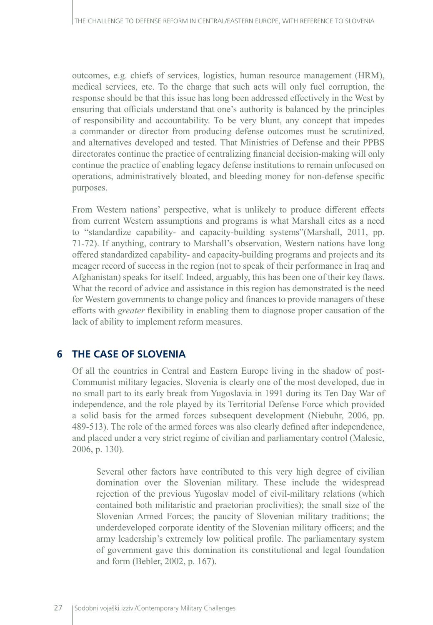outcomes, e.g. chiefs of services, logistics, human resource management (HRM), medical services, etc. To the charge that such acts will only fuel corruption, the response should be that this issue has long been addressed effectively in the West by ensuring that officials understand that one's authority is balanced by the principles of responsibility and accountability. To be very blunt, any concept that impedes a commander or director from producing defense outcomes must be scrutinized, and alternatives developed and tested. That Ministries of Defense and their PPBS directorates continue the practice of centralizing financial decision-making will only continue the practice of enabling legacy defense institutions to remain unfocused on operations, administratively bloated, and bleeding money for non-defense specific purposes.

From Western nations' perspective, what is unlikely to produce different effects from current Western assumptions and programs is what Marshall cites as a need to "standardize capability- and capacity-building systems"(Marshall, 2011, pp. 71-72). If anything, contrary to Marshall's observation, Western nations have long offered standardized capability- and capacity-building programs and projects and its meager record of success in the region (not to speak of their performance in Iraq and Afghanistan) speaks for itself. Indeed, arguably, this has been one of their key flaws. What the record of advice and assistance in this region has demonstrated is the need for Western governments to change policy and finances to provide managers of these efforts with *greater* flexibility in enabling them to diagnose proper causation of the lack of ability to implement reform measures.

## **6 THE CASE OF SLOVENIA**

Of all the countries in Central and Eastern Europe living in the shadow of post-Communist military legacies, Slovenia is clearly one of the most developed, due in no small part to its early break from Yugoslavia in 1991 during its Ten Day War of independence, and the role played by its Territorial Defense Force which provided a solid basis for the armed forces subsequent development (Niebuhr, 2006, pp. 489-513). The role of the armed forces was also clearly defined after independence, and placed under a very strict regime of civilian and parliamentary control (Malesic, 2006, p. 130).

Several other factors have contributed to this very high degree of civilian domination over the Slovenian military. These include the widespread rejection of the previous Yugoslav model of civil-military relations (which contained both militaristic and praetorian proclivities); the small size of the Slovenian Armed Forces; the paucity of Slovenian military traditions; the underdeveloped corporate identity of the Slovenian military officers; and the army leadership's extremely low political profile. The parliamentary system of government gave this domination its constitutional and legal foundation and form (Bebler, 2002, p. 167).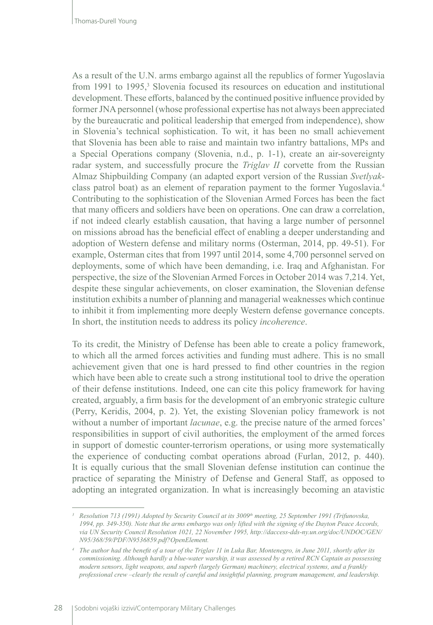As a result of the U.N. arms embargo against all the republics of former Yugoslavia from 1991 to 1995,<sup>3</sup> Slovenia focused its resources on education and institutional development. These efforts, balanced by the continued positive influence provided by former JNA personnel (whose professional expertise has not always been appreciated by the bureaucratic and political leadership that emerged from independence), show in Slovenia's technical sophistication. To wit, it has been no small achievement that Slovenia has been able to raise and maintain two infantry battalions, MPs and a Special Operations company (Slovenia, n.d., p. 1-1), create an air-sovereignty radar system, and successfully procure the *Triglav II* corvette from the Russian Almaz Shipbuilding Company (an adapted export version of the Russian *Svetlyak*class patrol boat) as an element of reparation payment to the former Yugoslavia.4 Contributing to the sophistication of the Slovenian Armed Forces has been the fact that many officers and soldiers have been on operations. One can draw a correlation, if not indeed clearly establish causation, that having a large number of personnel on missions abroad has the beneficial effect of enabling a deeper understanding and adoption of Western defense and military norms (Osterman, 2014, pp. 49-51). For example, Osterman cites that from 1997 until 2014, some 4,700 personnel served on deployments, some of which have been demanding, i.e. Iraq and Afghanistan. For perspective, the size of the Slovenian Armed Forces in October 2014 was 7,214. Yet, despite these singular achievements, on closer examination, the Slovenian defense institution exhibits a number of planning and managerial weaknesses which continue to inhibit it from implementing more deeply Western defense governance concepts. In short, the institution needs to address its policy *incoherence*.

To its credit, the Ministry of Defense has been able to create a policy framework, to which all the armed forces activities and funding must adhere. This is no small achievement given that one is hard pressed to find other countries in the region which have been able to create such a strong institutional tool to drive the operation of their defense institutions. Indeed, one can cite this policy framework for having created, arguably, a firm basis for the development of an embryonic strategic culture (Perry, Keridis, 2004, p. 2). Yet, the existing Slovenian policy framework is not without a number of important *lacunae*, e.g. the precise nature of the armed forces' responsibilities in support of civil authorities, the employment of the armed forces in support of domestic counter-terrorism operations, or using more systematically the experience of conducting combat operations abroad (Furlan, 2012, p. 440). It is equally curious that the small Slovenian defense institution can continue the practice of separating the Ministry of Defense and General Staff, as opposed to adopting an integrated organization. In what is increasingly becoming an atavistic

*<sup>3</sup> Resolution 713 (1991) Adopted by Security Council at its 3009th meeting, 25 September 1991 (Trifunovska, 1994, pp. 349-350). Note that the arms embargo was only lifted with the signing of the Dayton Peace Accords, via UN Security Council Resolution 1021, 22 November 1995, http://daccess-dds-ny.un.org/doc/UNDOC/GEN/ N95/368/59/PDF/N9536859.pdf?OpenElement.*

*<sup>4</sup> The author had the benefit of a tour of the Triglav 11 in Luka Bar, Montenegro, in June 2011, shortly after its commissioning. Although hardly a blue-water warship, it was assessed by a retired RCN Captain as possessing modern sensors, light weapons, and superb (largely German) machinery, electrical systems, and a frankly professional crew –clearly the result of careful and insightful planning, program management, and leadership.*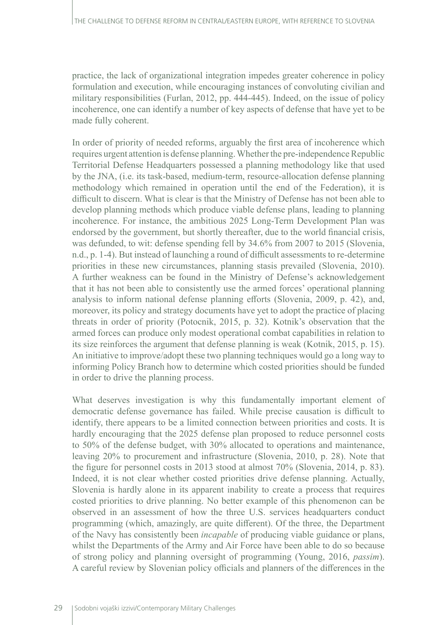practice, the lack of organizational integration impedes greater coherence in policy formulation and execution, while encouraging instances of convoluting civilian and military responsibilities (Furlan, 2012, pp. 444-445). Indeed, on the issue of policy incoherence, one can identify a number of key aspects of defense that have yet to be made fully coherent.

In order of priority of needed reforms, arguably the first area of incoherence which requires urgent attention is defense planning. Whether the pre-independence Republic Territorial Defense Headquarters possessed a planning methodology like that used by the JNA, (i.e. its task-based, medium-term, resource-allocation defense planning methodology which remained in operation until the end of the Federation), it is difficult to discern. What is clear is that the Ministry of Defense has not been able to develop planning methods which produce viable defense plans, leading to planning incoherence. For instance, the ambitious 2025 Long-Term Development Plan was endorsed by the government, but shortly thereafter, due to the world financial crisis, was defunded, to wit: defense spending fell by 34.6% from 2007 to 2015 (Slovenia, n.d., p. 1-4). But instead of launching a round of difficult assessments to re-determine priorities in these new circumstances, planning stasis prevailed (Slovenia, 2010). A further weakness can be found in the Ministry of Defense's acknowledgement that it has not been able to consistently use the armed forces' operational planning analysis to inform national defense planning efforts (Slovenia, 2009, p. 42), and, moreover, its policy and strategy documents have yet to adopt the practice of placing threats in order of priority (Potocnik, 2015, p. 32). Kotnik's observation that the armed forces can produce only modest operational combat capabilities in relation to its size reinforces the argument that defense planning is weak (Kotnik, 2015, p. 15). An initiative to improve/adopt these two planning techniques would go a long way to informing Policy Branch how to determine which costed priorities should be funded in order to drive the planning process.

What deserves investigation is why this fundamentally important element of democratic defense governance has failed. While precise causation is difficult to identify, there appears to be a limited connection between priorities and costs. It is hardly encouraging that the 2025 defense plan proposed to reduce personnel costs to 50% of the defense budget, with 30% allocated to operations and maintenance, leaving 20% to procurement and infrastructure (Slovenia, 2010, p. 28). Note that the figure for personnel costs in 2013 stood at almost 70% (Slovenia, 2014, p. 83). Indeed, it is not clear whether costed priorities drive defense planning. Actually, Slovenia is hardly alone in its apparent inability to create a process that requires costed priorities to drive planning. No better example of this phenomenon can be observed in an assessment of how the three U.S. services headquarters conduct programming (which, amazingly, are quite different). Of the three, the Department of the Navy has consistently been *incapable* of producing viable guidance or plans, whilst the Departments of the Army and Air Force have been able to do so because of strong policy and planning oversight of programming (Young, 2016, *passim*). A careful review by Slovenian policy officials and planners of the differences in the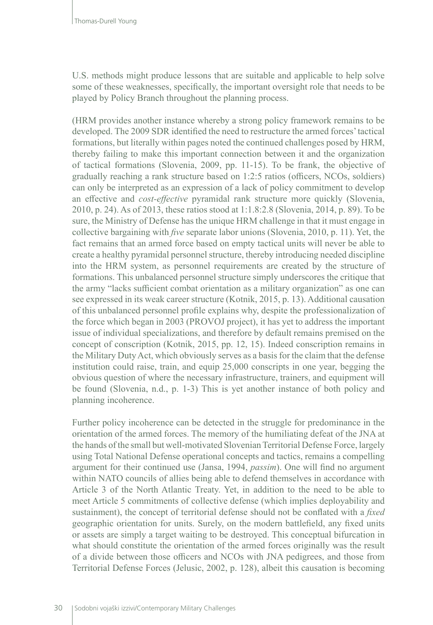U.S. methods might produce lessons that are suitable and applicable to help solve some of these weaknesses, specifically, the important oversight role that needs to be played by Policy Branch throughout the planning process.

(HRM provides another instance whereby a strong policy framework remains to be developed. The 2009 SDR identified the need to restructure the armed forces' tactical formations, but literally within pages noted the continued challenges posed by HRM, thereby failing to make this important connection between it and the organization of tactical formations (Slovenia, 2009, pp. 11-15). To be frank, the objective of gradually reaching a rank structure based on 1:2:5 ratios (officers, NCOs, soldiers) can only be interpreted as an expression of a lack of policy commitment to develop an effective and *cost-effective* pyramidal rank structure more quickly (Slovenia, 2010, p. 24). As of 2013, these ratios stood at 1:1.8:2.8 (Slovenia, 2014, p. 89). To be sure, the Ministry of Defense has the unique HRM challenge in that it must engage in collective bargaining with *five* separate labor unions (Slovenia, 2010, p. 11). Yet, the fact remains that an armed force based on empty tactical units will never be able to create a healthy pyramidal personnel structure, thereby introducing needed discipline into the HRM system, as personnel requirements are created by the structure of formations. This unbalanced personnel structure simply underscores the critique that the army "lacks sufficient combat orientation as a military organization" as one can see expressed in its weak career structure (Kotnik, 2015, p. 13). Additional causation of this unbalanced personnel profile explains why, despite the professionalization of the force which began in 2003 (PROVOJ project), it has yet to address the important issue of individual specializations, and therefore by default remains premised on the concept of conscription (Kotnik, 2015, pp. 12, 15). Indeed conscription remains in the Military Duty Act, which obviously serves as a basis for the claim that the defense institution could raise, train, and equip 25,000 conscripts in one year, begging the obvious question of where the necessary infrastructure, trainers, and equipment will be found (Slovenia, n.d., p. 1-3) This is yet another instance of both policy and planning incoherence.

Further policy incoherence can be detected in the struggle for predominance in the orientation of the armed forces. The memory of the humiliating defeat of the JNA at the hands of the small but well-motivated Slovenian Territorial Defense Force, largely using Total National Defense operational concepts and tactics, remains a compelling argument for their continued use (Jansa, 1994, *passim*). One will find no argument within NATO councils of allies being able to defend themselves in accordance with Article 3 of the North Atlantic Treaty. Yet, in addition to the need to be able to meet Article 5 commitments of collective defense (which implies deployability and sustainment), the concept of territorial defense should not be conflated with a *fixed*  geographic orientation for units. Surely, on the modern battlefield, any fixed units or assets are simply a target waiting to be destroyed. This conceptual bifurcation in what should constitute the orientation of the armed forces originally was the result of a divide between those officers and NCOs with JNA pedigrees, and those from Territorial Defense Forces (Jelusic, 2002, p. 128), albeit this causation is becoming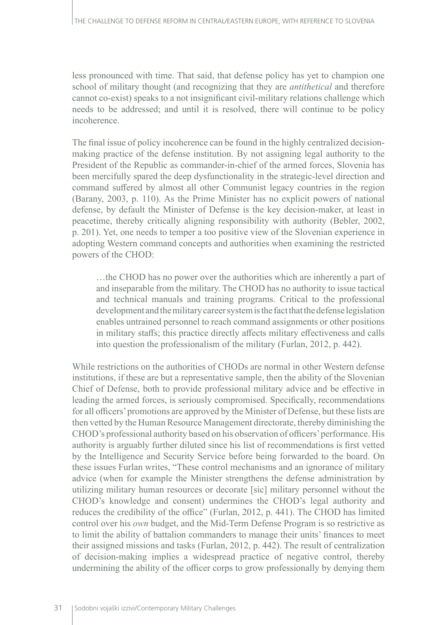less pronounced with time. That said, that defense policy has yet to champion one school of military thought (and recognizing that they are *antithetical* and therefore cannot co-exist) speaks to a not insignificant civil-military relations challenge which needs to be addressed; and until it is resolved, there will continue to be policy incoherence.

The final issue of policy incoherence can be found in the highly centralized decisionmaking practice of the defense institution. By not assigning legal authority to the President of the Republic as commander-in-chief of the armed forces, Slovenia has been mercifully spared the deep dysfunctionality in the strategic-level direction and command suffered by almost all other Communist legacy countries in the region (Barany, 2003, p. 110). As the Prime Minister has no explicit powers of national defense, by default the Minister of Defense is the key decision-maker, at least in peacetime, thereby critically aligning responsibility with authority (Bebler, 2002, p. 201). Yet, one needs to temper a too positive view of the Slovenian experience in adopting Western command concepts and authorities when examining the restricted powers of the CHOD:

…the CHOD has no power over the authorities which are inherently a part of and inseparable from the military. The CHOD has no authority to issue tactical and technical manuals and training programs. Critical to the professional development and the military career system is the fact that the defense legislation enables untrained personnel to reach command assignments or other positions in military staffs; this practice directly affects military effectiveness and calls into question the professionalism of the military (Furlan, 2012, p. 442).

While restrictions on the authorities of CHODs are normal in other Western defense institutions, if these are but a representative sample, then the ability of the Slovenian Chief of Defense, both to provide professional military advice and be effective in leading the armed forces, is seriously compromised. Specifically, recommendations for all officers' promotions are approved by the Minister of Defense, but these lists are then vetted by the Human Resource Management directorate, thereby diminishing the CHOD's professional authority based on his observation of officers' performance. His authority is arguably further diluted since his list of recommendations is first vetted by the Intelligence and Security Service before being forwarded to the board. On these issues Furlan writes, "These control mechanisms and an ignorance of military advice (when for example the Minister strengthens the defense administration by utilizing military human resources or decorate [sic] military personnel without the CHOD's knowledge and consent) undermines the CHOD's legal authority and reduces the credibility of the office" (Furlan, 2012, p. 441). The CHOD has limited control over his *own* budget, and the Mid-Term Defense Program is so restrictive as to limit the ability of battalion commanders to manage their units' finances to meet their assigned missions and tasks (Furlan, 2012, p. 442). The result of centralization of decision-making implies a widespread practice of negative control, thereby undermining the ability of the officer corps to grow professionally by denying them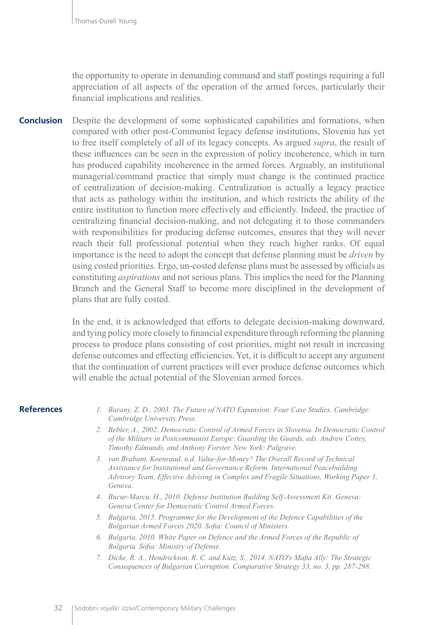the opportunity to operate in demanding command and staff postings requiring a full appreciation of all aspects of the operation of the armed forces, particularly their financial implications and realities.

Despite the development of some sophisticated capabilities and formations, when compared with other post-Communist legacy defense institutions, Slovenia has yet to free itself completely of all of its legacy concepts. As argued *supra*, the result of these influences can be seen in the expression of policy incoherence, which in turn has produced capability incoherence in the armed forces. Arguably, an institutional managerial/command practice that simply must change is the continued practice of centralization of decision-making. Centralization is actually a legacy practice that acts as pathology within the institution, and which restricts the ability of the entire institution to function more effectively and efficiently. Indeed, the practice of centralizing financial decision-making, and not delegating it to those commanders with responsibilities for producing defense outcomes, ensures that they will never reach their full professional potential when they reach higher ranks. Of equal importance is the need to adopt the concept that defense planning must be *driven* by using costed priorities. Ergo, un-costed defense plans must be assessed by officials as constituting *aspirations* and not serious plans. This implies the need for the Planning Branch and the General Staff to become more disciplined in the development of plans that are fully costed. **Conclusion**

> In the end, it is acknowledged that efforts to delegate decision-making downward, and tying policy more closely to financial expenditure through reforming the planning process to produce plans consisting of cost priorities, might not result in increasing defense outcomes and effecting efficiencies. Yet, it is difficult to accept any argument that the continuation of current practices will ever produce defense outcomes which will enable the actual potential of the Slovenian armed forces.

#### **References**

- *1. Barany, Z. D., 2003. The Future of NATO Expansion: Four Case Studies. Cambridge: Cambridge University Press.*
- *2. Bebler, A., 2002. Democratic Control of Armed Forces in Slovenia. In Democratic Control of the Military in Postcommunist Europe: Guarding the Guards, eds. Andrew Cottey, Timothy Edmunds, and Anthony Forster. New York: Palgrave.*
- *3. van Brabant, Koenraad, n.d. Value-for-Money? The Overall Record of Technical Assistance for Institutional and Governance Reform. International Peacebuilding Advisory Team, Effective Advising in Complex and Fragile Situations, Working Paper 1, Geneva.*
- *4. Bucur-Marcu, H., 2010. Defense Institution Building Self-Assessment Kit .Geneva: Geneva Center for Democratic Control Armed Forces.*
- *5. Bulgaria, 2015. Programme for the Development of the Defence Capabilities of the Bulgarian Armed Forces 2020. Sofia: Council of Ministers.*
- *6. Bulgaria, 2010. White Paper on Defence and the Armed Forces of the Republic of Bulgaria. Sofia: Ministry of Defense.*
- *7. Dicke, R. A., Hendrickson, R. C. and Kutz, S., 2014. NATO's Mafia Ally: The Strategic Consequences of Bulgarian Corruption. Comparative Strategy 33, no. 3, pp. 287-298.*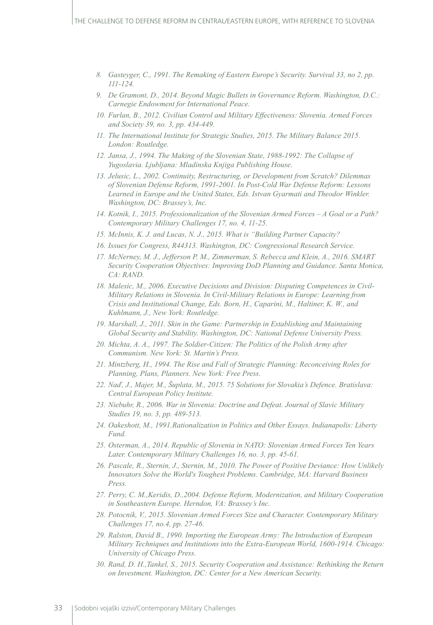- *8. Gasteyger, C., 1991. The Remaking of Eastern Europe's Security. Survival 33, no 2, pp. 111-124.*
- *9. De Gramont, D., 2014. Beyond Magic Bullets in Governance Reform. Washington, D.C.: Carnegie Endowment for International Peace.*
- *10. Furlan, B., 2012. Civilian Control and Military Effectiveness: Slovenia. Armed Forces and Society 39, no. 3, pp. 434-449.*
- *11. The International Institute for Strategic Studies, 2015. The Military Balance 2015. London: Routledge.*
- *12. Jansa, J., 1994. The Making of the Slovenian State, 1988-1992: The Collapse of Yugoslavia. Ljubljana: Mladinska Knjiga Publishing House.*
- *13. Jelusic, L., 2002. Continuity, Restructuring, or Development from Scratch? Dilemmas of Slovenian Defense Reform, 1991-2001. In Post-Cold War Defense Reform: Lessons*  Learned in Europe and the United States, Eds. Istvan Gyarmati and Theodor Winkler. *Washington, DC: Brassey's, Inc.*
- *14. Kotnik, I., 2015. Professionalization of the Slovenian Armed Forces A Goal or a Path? Contemporary Military Challenges 17, no. 4, 11-25.*
- *15. McInnis, K. J. and Lucas, N. J., 2015. What is "Building Partner Capacity?*
- *16. Issues for Congress, R44313. Washington, DC: Congressional Research Service.*
- *17. McNerney, M. J., Jefferson P. M., Zimmerman, S. Rebecca and Klein, A., 2016. SMART Security Cooperation Objectives: Improving DoD Planning and Guidance. Santa Monica, CA: RAND.*
- *18. Malesic, M., 2006. Executive Decisions and Division: Disputing Competences in Civil-Military Relations in Slovenia. In Civil-Military Relations in Europe: Learning from Crisis and Institutional Change, Eds. Born, H., Caparini, M., Haltiner, K. W., and Kuhlmann, J., New York: Routledge.*
- *19. Marshall, J., 2011. Skin in the Game: Partnership in Establishing and Maintaining Global Security and Stability. Washington, DC: National Defense University Press.*
- *20. Michta, A. A., 1997. The Soldier-Citizen: The Politics of the Polish Army after Communism. New York: St. Martin's Press.*
- *21. Mintzberg, H., 1994. The Rise and Fall of Strategic Planning: Reconceiving Roles for Planning, Plans, Planners. New York: Free Press.*
- *22. Naď, J., Majer, M., Šuplata, M., 2015. 75 Solutions for Slovakia's Defence. Bratislava: Central European Policy Institute.*
- *23. Niebuhr, R., 2006. War in Slovenia: Doctrine and Defeat. Journal of Slavic Military Studies 19, no. 3, pp. 489-513.*
- *24. Oakeshott, M., 1991.Rationalization in Politics and Other Essays. Indianapolis: Liberty Fund.*
- *25. Osterman, A., 2014. Republic of Slovenia in NATO: Slovenian Armed Forces Ten Years Later. Contemporary Military Challenges 16, no. 3, pp. 45-61.*
- *26. Pascale, R., Sternin, J., Sternin, M., 2010. The Power of Positive Deviance: How Unlikely Innovators Solve the World's Toughest Problems. Cambridge, MA: Harvard Business Press.*
- *27. Perry, C. M.,Keridis, D.,2004. Defense Reform, Modernization, and Military Cooperation in Southeastern Europe. Herndon, VA: Brassey's Inc.*
- *28. Potocnik, V., 2015. Slovenian Armed Forces Size and Character. Contemporary Military Challenges 17, no.4, pp. 27-46.*
- *29. Ralston, David B., 1990. Importing the European Army: The Introduction of European Military Techniques and Institutions into the Extra-European World, 1600-1914. Chicago: University of Chicago Press.*
- *30. Rand, D. H.,Tankel, S., 2015. Security Cooperation and Assistance: Rethinking the Return on Investment. Washington, DC: Center for a New American Security.*